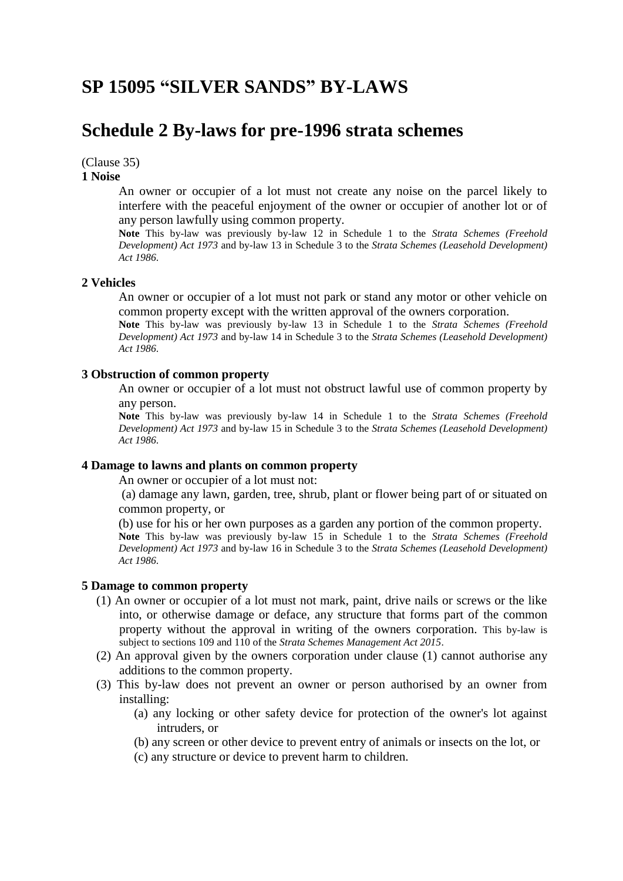# **SP 15095 "SILVER SANDS" BY-LAWS**

# **Schedule 2 By-laws for pre-1996 strata schemes**

#### (Clause 35)

# **1 Noise**

An owner or occupier of a lot must not create any noise on the parcel likely to interfere with the peaceful enjoyment of the owner or occupier of another lot or of any person lawfully using common property.

**Note** This by-law was previously by-law 12 in Schedule 1 to the *Strata Schemes (Freehold Development) Act 1973* and by-law 13 in Schedule 3 to the *Strata Schemes (Leasehold Development) Act 1986*.

# **2 Vehicles**

An owner or occupier of a lot must not park or stand any motor or other vehicle on common property except with the written approval of the owners corporation.

**Note** This by-law was previously by-law 13 in Schedule 1 to the *Strata Schemes (Freehold Development) Act 1973* and by-law 14 in Schedule 3 to the *Strata Schemes (Leasehold Development) Act 1986*.

# **3 Obstruction of common property**

An owner or occupier of a lot must not obstruct lawful use of common property by any person.

**Note** This by-law was previously by-law 14 in Schedule 1 to the *Strata Schemes (Freehold Development) Act 1973* and by-law 15 in Schedule 3 to the *Strata Schemes (Leasehold Development) Act 1986*.

# **4 Damage to lawns and plants on common property**

An owner or occupier of a lot must not:

(a) damage any lawn, garden, tree, shrub, plant or flower being part of or situated on common property, or

(b) use for his or her own purposes as a garden any portion of the common property. **Note** This by-law was previously by-law 15 in Schedule 1 to the *Strata Schemes (Freehold Development) Act 1973* and by-law 16 in Schedule 3 to the *Strata Schemes (Leasehold Development) Act 1986*.

### **5 Damage to common property**

- (1) An owner or occupier of a lot must not mark, paint, drive nails or screws or the like into, or otherwise damage or deface, any structure that forms part of the common property without the approval in writing of the owners corporation. This by-law is subject to sections 109 and 110 of the *Strata Schemes Management Act 2015*.
- (2) An approval given by the owners corporation under clause (1) cannot authorise any additions to the common property.
- (3) This by-law does not prevent an owner or person authorised by an owner from installing:
	- (a) any locking or other safety device for protection of the owner's lot against intruders, or
	- (b) any screen or other device to prevent entry of animals or insects on the lot, or
	- (c) any structure or device to prevent harm to children.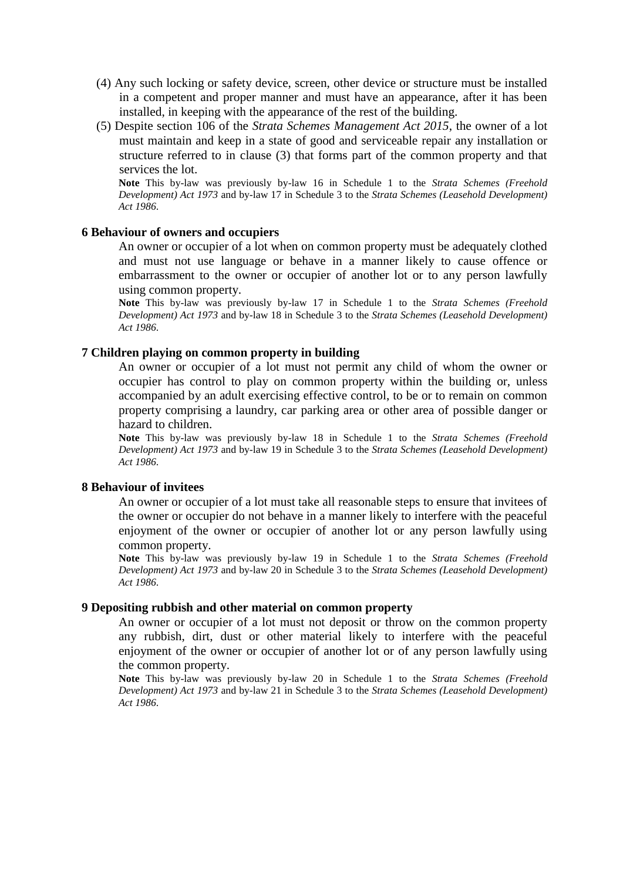- (4) Any such locking or safety device, screen, other device or structure must be installed in a competent and proper manner and must have an appearance, after it has been installed, in keeping with the appearance of the rest of the building.
- (5) Despite section 106 of the *Strata Schemes Management Act 2015*, the owner of a lot must maintain and keep in a state of good and serviceable repair any installation or structure referred to in clause (3) that forms part of the common property and that services the lot.

**Note** This by-law was previously by-law 16 in Schedule 1 to the *Strata Schemes (Freehold Development) Act 1973* and by-law 17 in Schedule 3 to the *Strata Schemes (Leasehold Development) Act 1986*.

#### **6 Behaviour of owners and occupiers**

An owner or occupier of a lot when on common property must be adequately clothed and must not use language or behave in a manner likely to cause offence or embarrassment to the owner or occupier of another lot or to any person lawfully using common property.

**Note** This by-law was previously by-law 17 in Schedule 1 to the *Strata Schemes (Freehold Development) Act 1973* and by-law 18 in Schedule 3 to the *Strata Schemes (Leasehold Development) Act 1986*.

# **7 Children playing on common property in building**

An owner or occupier of a lot must not permit any child of whom the owner or occupier has control to play on common property within the building or, unless accompanied by an adult exercising effective control, to be or to remain on common property comprising a laundry, car parking area or other area of possible danger or hazard to children.

**Note** This by-law was previously by-law 18 in Schedule 1 to the *Strata Schemes (Freehold Development) Act 1973* and by-law 19 in Schedule 3 to the *Strata Schemes (Leasehold Development) Act 1986*.

#### **8 Behaviour of invitees**

An owner or occupier of a lot must take all reasonable steps to ensure that invitees of the owner or occupier do not behave in a manner likely to interfere with the peaceful enjoyment of the owner or occupier of another lot or any person lawfully using common property.

**Note** This by-law was previously by-law 19 in Schedule 1 to the *Strata Schemes (Freehold Development) Act 1973* and by-law 20 in Schedule 3 to the *Strata Schemes (Leasehold Development) Act 1986*.

### **9 Depositing rubbish and other material on common property**

An owner or occupier of a lot must not deposit or throw on the common property any rubbish, dirt, dust or other material likely to interfere with the peaceful enjoyment of the owner or occupier of another lot or of any person lawfully using the common property.

**Note** This by-law was previously by-law 20 in Schedule 1 to the *Strata Schemes (Freehold Development) Act 1973* and by-law 21 in Schedule 3 to the *Strata Schemes (Leasehold Development) Act 1986*.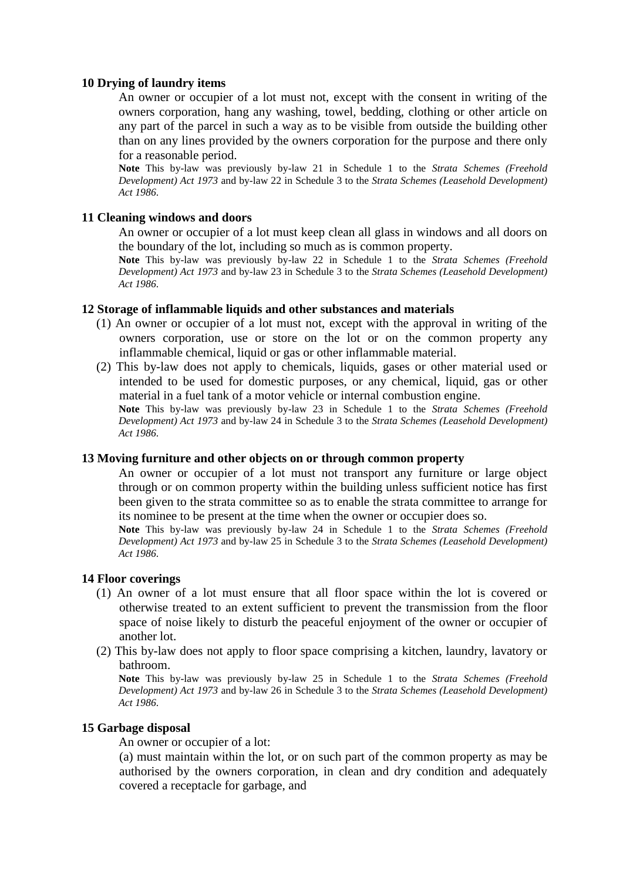# **10 Drying of laundry items**

An owner or occupier of a lot must not, except with the consent in writing of the owners corporation, hang any washing, towel, bedding, clothing or other article on any part of the parcel in such a way as to be visible from outside the building other than on any lines provided by the owners corporation for the purpose and there only for a reasonable period.

**Note** This by-law was previously by-law 21 in Schedule 1 to the *Strata Schemes (Freehold Development) Act 1973* and by-law 22 in Schedule 3 to the *Strata Schemes (Leasehold Development) Act 1986*.

# **11 Cleaning windows and doors**

An owner or occupier of a lot must keep clean all glass in windows and all doors on the boundary of the lot, including so much as is common property.

**Note** This by-law was previously by-law 22 in Schedule 1 to the *Strata Schemes (Freehold Development) Act 1973* and by-law 23 in Schedule 3 to the *Strata Schemes (Leasehold Development) Act 1986*.

# **12 Storage of inflammable liquids and other substances and materials**

- (1) An owner or occupier of a lot must not, except with the approval in writing of the owners corporation, use or store on the lot or on the common property any inflammable chemical, liquid or gas or other inflammable material.
- (2) This by-law does not apply to chemicals, liquids, gases or other material used or intended to be used for domestic purposes, or any chemical, liquid, gas or other material in a fuel tank of a motor vehicle or internal combustion engine.

**Note** This by-law was previously by-law 23 in Schedule 1 to the *Strata Schemes (Freehold Development) Act 1973* and by-law 24 in Schedule 3 to the *Strata Schemes (Leasehold Development) Act 1986*.

## **13 Moving furniture and other objects on or through common property**

An owner or occupier of a lot must not transport any furniture or large object through or on common property within the building unless sufficient notice has first been given to the strata committee so as to enable the strata committee to arrange for its nominee to be present at the time when the owner or occupier does so.

**Note** This by-law was previously by-law 24 in Schedule 1 to the *Strata Schemes (Freehold Development) Act 1973* and by-law 25 in Schedule 3 to the *Strata Schemes (Leasehold Development) Act 1986*.

## **14 Floor coverings**

- (1) An owner of a lot must ensure that all floor space within the lot is covered or otherwise treated to an extent sufficient to prevent the transmission from the floor space of noise likely to disturb the peaceful enjoyment of the owner or occupier of another lot.
- (2) This by-law does not apply to floor space comprising a kitchen, laundry, lavatory or bathroom.

**Note** This by-law was previously by-law 25 in Schedule 1 to the *Strata Schemes (Freehold Development) Act 1973* and by-law 26 in Schedule 3 to the *Strata Schemes (Leasehold Development) Act 1986*.

# **15 Garbage disposal**

An owner or occupier of a lot:

(a) must maintain within the lot, or on such part of the common property as may be authorised by the owners corporation, in clean and dry condition and adequately covered a receptacle for garbage, and